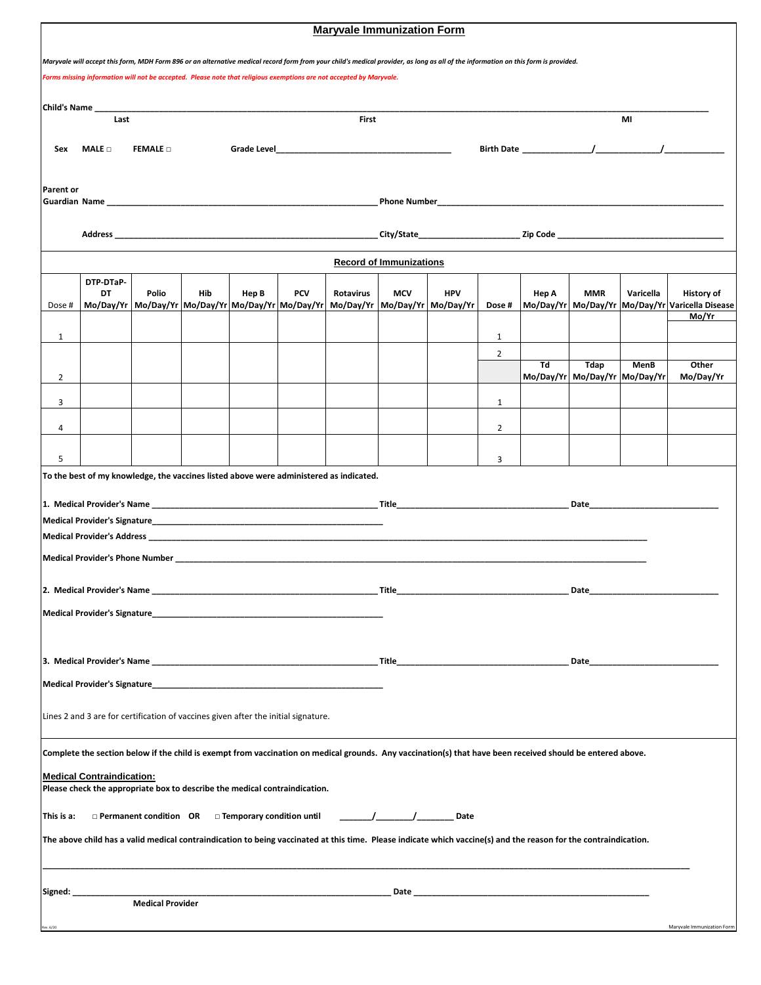|                                                                                                                                                                                                                                                                                                           | <b>Maryvale Immunization Form</b>                                                                                                                                |                                                           |     |       |            |                                                                                        |                                                                                                               |                                                          |                |       |                               |             |                                                 |  |
|-----------------------------------------------------------------------------------------------------------------------------------------------------------------------------------------------------------------------------------------------------------------------------------------------------------|------------------------------------------------------------------------------------------------------------------------------------------------------------------|-----------------------------------------------------------|-----|-------|------------|----------------------------------------------------------------------------------------|---------------------------------------------------------------------------------------------------------------|----------------------------------------------------------|----------------|-------|-------------------------------|-------------|-------------------------------------------------|--|
|                                                                                                                                                                                                                                                                                                           |                                                                                                                                                                  |                                                           |     |       |            |                                                                                        |                                                                                                               |                                                          |                |       |                               |             |                                                 |  |
| Maryvale will accept this form, MDH Form 896 or an alternative medical record form from your child's medical provider, as long as all of the information on this form is provided.<br>Forms missing information will not be accepted. Please note that religious exemptions are not accepted by Maryvale. |                                                                                                                                                                  |                                                           |     |       |            |                                                                                        |                                                                                                               |                                                          |                |       |                               |             |                                                 |  |
|                                                                                                                                                                                                                                                                                                           |                                                                                                                                                                  |                                                           |     |       |            |                                                                                        |                                                                                                               |                                                          |                |       |                               |             |                                                 |  |
| <b>Child's Name</b>                                                                                                                                                                                                                                                                                       |                                                                                                                                                                  |                                                           |     |       |            |                                                                                        |                                                                                                               |                                                          |                |       |                               |             |                                                 |  |
|                                                                                                                                                                                                                                                                                                           | Last                                                                                                                                                             |                                                           |     |       | First      |                                                                                        |                                                                                                               |                                                          |                | MI    |                               |             |                                                 |  |
| Sex                                                                                                                                                                                                                                                                                                       | $MALE \Box$<br><b>FEMALE D</b>                                                                                                                                   |                                                           |     |       |            |                                                                                        |                                                                                                               |                                                          |                |       |                               |             |                                                 |  |
|                                                                                                                                                                                                                                                                                                           |                                                                                                                                                                  |                                                           |     |       |            |                                                                                        |                                                                                                               |                                                          |                |       |                               |             |                                                 |  |
| <b>Parent or</b>                                                                                                                                                                                                                                                                                          |                                                                                                                                                                  |                                                           |     |       |            |                                                                                        |                                                                                                               |                                                          |                |       |                               |             |                                                 |  |
|                                                                                                                                                                                                                                                                                                           |                                                                                                                                                                  |                                                           |     |       |            |                                                                                        |                                                                                                               |                                                          |                |       |                               |             |                                                 |  |
|                                                                                                                                                                                                                                                                                                           |                                                                                                                                                                  |                                                           |     |       |            |                                                                                        |                                                                                                               |                                                          |                |       |                               |             |                                                 |  |
|                                                                                                                                                                                                                                                                                                           |                                                                                                                                                                  |                                                           |     |       |            |                                                                                        |                                                                                                               |                                                          |                |       |                               |             |                                                 |  |
| <b>Record of Immunizations</b>                                                                                                                                                                                                                                                                            |                                                                                                                                                                  |                                                           |     |       |            |                                                                                        |                                                                                                               |                                                          |                |       |                               |             |                                                 |  |
|                                                                                                                                                                                                                                                                                                           | DTP-DTaP-<br>DT                                                                                                                                                  | Polio                                                     | Hib |       | <b>PCV</b> | Rotavirus                                                                              | <b>MCV</b>                                                                                                    | <b>HPV</b>                                               |                |       | <b>MMR</b>                    | Varicella   | History of                                      |  |
| Dose #                                                                                                                                                                                                                                                                                                    |                                                                                                                                                                  | Mo/Day/Yr   Mo/Day/Yr   Mo/Day/Yr   Mo/Day/Yr   Mo/Day/Yr |     | Hep B |            | Mo/Day/Yr                                                                              |                                                                                                               | Mo/Day/Yr   Mo/Day/Yr                                    | Dose #         | Hep A |                               |             | Mo/Day/Yr Mo/Day/Yr Mo/Day/Yr Varicella Disease |  |
|                                                                                                                                                                                                                                                                                                           |                                                                                                                                                                  |                                                           |     |       |            |                                                                                        |                                                                                                               |                                                          |                |       |                               |             | Mo/Yr                                           |  |
| $\mathbf{1}$                                                                                                                                                                                                                                                                                              |                                                                                                                                                                  |                                                           |     |       |            |                                                                                        |                                                                                                               |                                                          | $\mathbf{1}$   |       |                               |             |                                                 |  |
|                                                                                                                                                                                                                                                                                                           |                                                                                                                                                                  |                                                           |     |       |            |                                                                                        |                                                                                                               |                                                          | 2              | Td    | Tdap                          | <b>MenB</b> | Other                                           |  |
| $\overline{2}$                                                                                                                                                                                                                                                                                            |                                                                                                                                                                  |                                                           |     |       |            |                                                                                        |                                                                                                               |                                                          |                |       | Mo/Day/Yr Mo/Day/Yr Mo/Day/Yr |             | Mo/Day/Yr                                       |  |
| 3                                                                                                                                                                                                                                                                                                         |                                                                                                                                                                  |                                                           |     |       |            |                                                                                        |                                                                                                               |                                                          | $\mathbf{1}$   |       |                               |             |                                                 |  |
| 4                                                                                                                                                                                                                                                                                                         |                                                                                                                                                                  |                                                           |     |       |            |                                                                                        |                                                                                                               |                                                          | $\overline{2}$ |       |                               |             |                                                 |  |
|                                                                                                                                                                                                                                                                                                           |                                                                                                                                                                  |                                                           |     |       |            |                                                                                        |                                                                                                               |                                                          |                |       |                               |             |                                                 |  |
| 5                                                                                                                                                                                                                                                                                                         |                                                                                                                                                                  |                                                           |     |       |            |                                                                                        |                                                                                                               |                                                          | 3              |       |                               |             |                                                 |  |
|                                                                                                                                                                                                                                                                                                           |                                                                                                                                                                  |                                                           |     |       |            | To the best of my knowledge, the vaccines listed above were administered as indicated. |                                                                                                               |                                                          |                |       |                               |             |                                                 |  |
|                                                                                                                                                                                                                                                                                                           |                                                                                                                                                                  |                                                           |     |       |            |                                                                                        |                                                                                                               |                                                          |                |       |                               |             |                                                 |  |
|                                                                                                                                                                                                                                                                                                           |                                                                                                                                                                  |                                                           |     |       |            |                                                                                        |                                                                                                               |                                                          |                |       |                               |             |                                                 |  |
|                                                                                                                                                                                                                                                                                                           |                                                                                                                                                                  |                                                           |     |       |            |                                                                                        |                                                                                                               |                                                          |                |       |                               |             |                                                 |  |
|                                                                                                                                                                                                                                                                                                           |                                                                                                                                                                  |                                                           |     |       |            |                                                                                        |                                                                                                               |                                                          |                |       |                               |             |                                                 |  |
|                                                                                                                                                                                                                                                                                                           |                                                                                                                                                                  |                                                           |     |       |            |                                                                                        |                                                                                                               |                                                          |                |       |                               |             |                                                 |  |
|                                                                                                                                                                                                                                                                                                           |                                                                                                                                                                  |                                                           |     |       |            |                                                                                        | _ Title                                                                                                       | <u> 1989 - Johann John Stone, mars eta biztanleria (</u> |                |       | Date                          |             |                                                 |  |
|                                                                                                                                                                                                                                                                                                           |                                                                                                                                                                  |                                                           |     |       |            |                                                                                        |                                                                                                               |                                                          |                |       |                               |             |                                                 |  |
|                                                                                                                                                                                                                                                                                                           |                                                                                                                                                                  |                                                           |     |       |            |                                                                                        |                                                                                                               |                                                          |                |       |                               |             |                                                 |  |
|                                                                                                                                                                                                                                                                                                           |                                                                                                                                                                  |                                                           |     |       |            |                                                                                        | Date and the second state of the second state and state and state and state and state and state and state and |                                                          |                |       |                               |             |                                                 |  |
|                                                                                                                                                                                                                                                                                                           |                                                                                                                                                                  |                                                           |     |       |            |                                                                                        |                                                                                                               |                                                          |                |       |                               |             |                                                 |  |
|                                                                                                                                                                                                                                                                                                           |                                                                                                                                                                  |                                                           |     |       |            |                                                                                        |                                                                                                               |                                                          |                |       |                               |             |                                                 |  |
|                                                                                                                                                                                                                                                                                                           | Lines 2 and 3 are for certification of vaccines given after the initial signature.                                                                               |                                                           |     |       |            |                                                                                        |                                                                                                               |                                                          |                |       |                               |             |                                                 |  |
|                                                                                                                                                                                                                                                                                                           |                                                                                                                                                                  |                                                           |     |       |            |                                                                                        |                                                                                                               |                                                          |                |       |                               |             |                                                 |  |
|                                                                                                                                                                                                                                                                                                           | Complete the section below if the child is exempt from vaccination on medical grounds. Any vaccination(s) that have been received should be entered above.       |                                                           |     |       |            |                                                                                        |                                                                                                               |                                                          |                |       |                               |             |                                                 |  |
|                                                                                                                                                                                                                                                                                                           | <b>Medical Contraindication:</b><br>Please check the appropriate box to describe the medical contraindication.                                                   |                                                           |     |       |            |                                                                                        |                                                                                                               |                                                          |                |       |                               |             |                                                 |  |
|                                                                                                                                                                                                                                                                                                           |                                                                                                                                                                  |                                                           |     |       |            |                                                                                        |                                                                                                               |                                                          |                |       |                               |             |                                                 |  |
| $\frac{1}{\sqrt{1-\frac{1}{2}}}\left[\frac{1}{\sqrt{1-\frac{1}{2}}}\right]$ Date<br>$\Box$ Permanent condition OR $\Box$ Temporary condition until<br>This is a:                                                                                                                                          |                                                                                                                                                                  |                                                           |     |       |            |                                                                                        |                                                                                                               |                                                          |                |       |                               |             |                                                 |  |
|                                                                                                                                                                                                                                                                                                           | The above child has a valid medical contraindication to being vaccinated at this time. Please indicate which vaccine(s) and the reason for the contraindication. |                                                           |     |       |            |                                                                                        |                                                                                                               |                                                          |                |       |                               |             |                                                 |  |
|                                                                                                                                                                                                                                                                                                           |                                                                                                                                                                  |                                                           |     |       |            |                                                                                        |                                                                                                               |                                                          |                |       |                               |             |                                                 |  |
|                                                                                                                                                                                                                                                                                                           |                                                                                                                                                                  |                                                           |     |       |            |                                                                                        |                                                                                                               |                                                          |                |       |                               |             |                                                 |  |
| Signed: ____                                                                                                                                                                                                                                                                                              |                                                                                                                                                                  |                                                           |     |       |            |                                                                                        |                                                                                                               |                                                          |                |       |                               |             |                                                 |  |
| Rev. 6/20                                                                                                                                                                                                                                                                                                 |                                                                                                                                                                  |                                                           |     |       |            |                                                                                        |                                                                                                               |                                                          |                |       |                               |             | Maryvale Immunization Form                      |  |